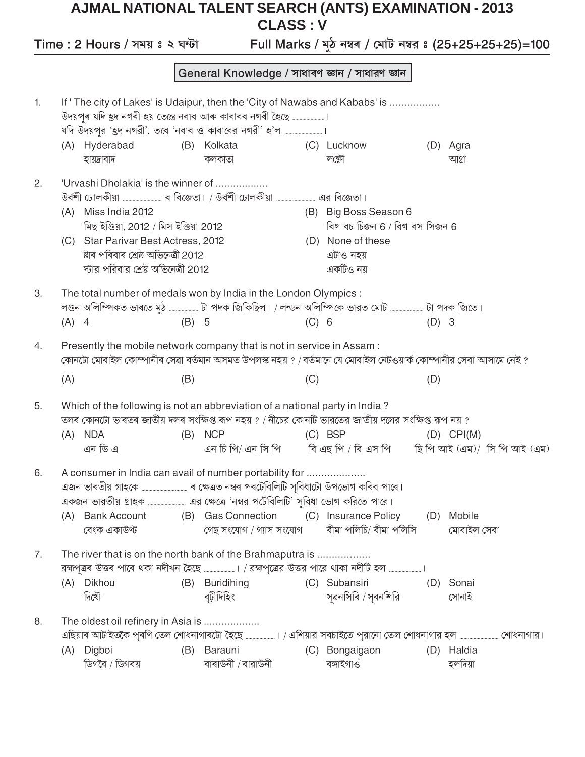## AJMAL NATIONAL TALENT SEARCH (ANTS) EXAMINATION - 2013 **CLASS: V**

Full Marks / মুঠ নম্বৰ / মোট নম্বর ঃ (25+25+25+25)=100 Time : 2 Hours / সময় ঃ ২ ঘন্টা General Knowledge / সাধাৰণ জ্ঞান / সাধারণ জ্ঞান If ' The city of Lakes' is Udaipur, then the 'City of Nawabs and Kababs' is ................. 1. (A) Hyderabad (D) Agra (B) Kolkata (C) Lucknow হায়দ্রাবাদ কলকাতা লক্ষ্ণৌ আগ্ৰা 'Urvashi Dholakia' is the winner of ................. 2. (A) Miss India 2012 (B) Big Boss Season 6 মিছ ইণ্ডিয়া, 2012 / মিস ইণ্ডিয়া 2012 বিগ বচ চিজন 6 / বিগ বস সিজন 6 (C) Star Parivar Best Actress, 2012 (D) None of these ষ্টাৰ পৰিবাৰ শ্ৰেষ্ঠ অভিনেত্ৰী 2012 এটাও নহয় স্টার পরিবার শ্রেষ্ট অভিনেত্রী 2012 একটিও নয় 3. The total number of medals won by India in the London Olympics : লণ্ডন অলিম্পিকত ভাৰতে মুঠ ..................... টা পদক জিকিছিল। / লন্ডন অলিম্পিকে ভারত মোট .......................... টা পদক জিতে।  $(A)$  4  $(B)$  5  $(C) 6$  $(D)$  3 Presently the mobile network company that is not in service in Assam :  $4.$ কোনটো মোবাইল কোম্পানীৰ সেৱা বৰ্তমান অসমত উপলস্ক নহয় ? /বৰ্তমানে যে মোবাইল নেটওয়াৰ্ক কোম্পানীর সেবা আসামে নেই ?  $(A)$  $(B)$  $(C)$  $(D)$ Which of the following is not an abbreviation of a national party in India? 5. তলৰ কোনটো ভাৰতৰ জাতীয় দলৰ সংক্ষিপ্ত ৰূপ নহয় ? / নীচের কোনটি ভারতের জাতীয় দলের সংক্ষিপ্ত রূপ নয় ?  $(C)$  BSP  $(A)$  NDA  $(B)$  NCP  $(D)$  CPI $(M)$ এন চি পি/ এন সি পি বি এছ পি / বি এস পি এন ডি এ ছি পি আই (এম)/ সি পি আই (এম) 6. A consumer in India can avail of number portability for .................... (A) Bank Account (B) Gas Connection (C) Insurance Policy (D) Mobile বীমা পলিচি/ বীমা পলিসি বেংক একাউণ্ট গেছ সংযোগ / গ্যাস সংযোগ মোবাইল সেবা 7. The river that is on the north bank of the Brahmaputra is .................. (B) Buridihing (A) Dikhou (C) Subansiri (D) Sonai দিখৌ বঢ়ীদিহিং সৱনসিৰি / সবনশিরি সোনাই The oldest oil refinery in Asia is .................... 8. (A) Digboi (C) Bongaigaon (D) Haldia (B) Barauni ডিগবৈ / ডিগবয় বাৰাউনী /বারাউনী বঙ্গাইগাওঁ হলদিয়া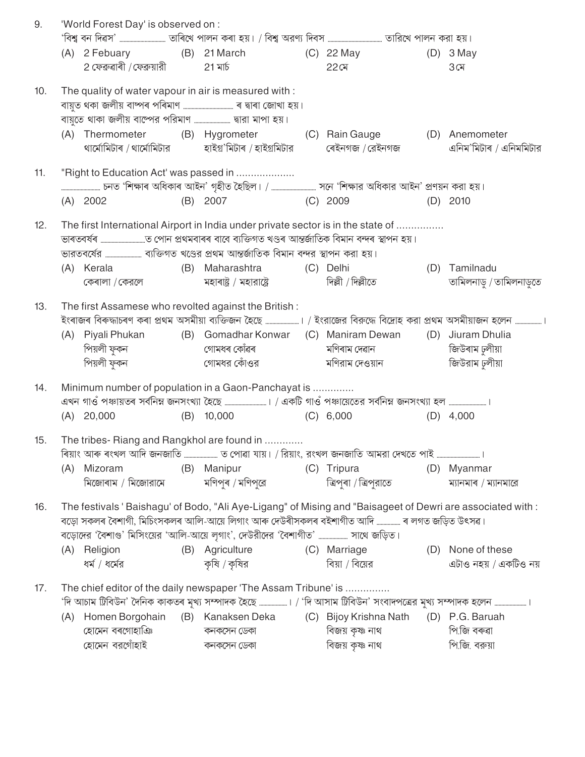|                                       |                                                                                                                                                 |                                                                                                                        |                                                                                                                                                                                                                                                         |                                                                                                                                                    |                                                                                                                                                                                                                                                                                                                                                       | $(D)$ 3 May                                                                                                                                                                                                                                                                                                                                                                                                                                                                                                                                                                                                                                                                                                                                                                                                                                                                                                                                 |
|---------------------------------------|-------------------------------------------------------------------------------------------------------------------------------------------------|------------------------------------------------------------------------------------------------------------------------|---------------------------------------------------------------------------------------------------------------------------------------------------------------------------------------------------------------------------------------------------------|----------------------------------------------------------------------------------------------------------------------------------------------------|-------------------------------------------------------------------------------------------------------------------------------------------------------------------------------------------------------------------------------------------------------------------------------------------------------------------------------------------------------|---------------------------------------------------------------------------------------------------------------------------------------------------------------------------------------------------------------------------------------------------------------------------------------------------------------------------------------------------------------------------------------------------------------------------------------------------------------------------------------------------------------------------------------------------------------------------------------------------------------------------------------------------------------------------------------------------------------------------------------------------------------------------------------------------------------------------------------------------------------------------------------------------------------------------------------------|
|                                       |                                                                                                                                                 | 21 মাৰ্চ                                                                                                               |                                                                                                                                                                                                                                                         | $22$ মে                                                                                                                                            |                                                                                                                                                                                                                                                                                                                                                       | $3 \times$                                                                                                                                                                                                                                                                                                                                                                                                                                                                                                                                                                                                                                                                                                                                                                                                                                                                                                                                  |
|                                       |                                                                                                                                                 |                                                                                                                        |                                                                                                                                                                                                                                                         |                                                                                                                                                    |                                                                                                                                                                                                                                                                                                                                                       |                                                                                                                                                                                                                                                                                                                                                                                                                                                                                                                                                                                                                                                                                                                                                                                                                                                                                                                                             |
|                                       |                                                                                                                                                 |                                                                                                                        |                                                                                                                                                                                                                                                         |                                                                                                                                                    |                                                                                                                                                                                                                                                                                                                                                       |                                                                                                                                                                                                                                                                                                                                                                                                                                                                                                                                                                                                                                                                                                                                                                                                                                                                                                                                             |
|                                       |                                                                                                                                                 |                                                                                                                        |                                                                                                                                                                                                                                                         |                                                                                                                                                    |                                                                                                                                                                                                                                                                                                                                                       |                                                                                                                                                                                                                                                                                                                                                                                                                                                                                                                                                                                                                                                                                                                                                                                                                                                                                                                                             |
|                                       |                                                                                                                                                 |                                                                                                                        |                                                                                                                                                                                                                                                         |                                                                                                                                                    |                                                                                                                                                                                                                                                                                                                                                       | এনিম'মিটাৰ / এনিমমিটার                                                                                                                                                                                                                                                                                                                                                                                                                                                                                                                                                                                                                                                                                                                                                                                                                                                                                                                      |
|                                       |                                                                                                                                                 |                                                                                                                        |                                                                                                                                                                                                                                                         |                                                                                                                                                    |                                                                                                                                                                                                                                                                                                                                                       |                                                                                                                                                                                                                                                                                                                                                                                                                                                                                                                                                                                                                                                                                                                                                                                                                                                                                                                                             |
|                                       |                                                                                                                                                 |                                                                                                                        |                                                                                                                                                                                                                                                         |                                                                                                                                                    |                                                                                                                                                                                                                                                                                                                                                       | $(D)$ 2010                                                                                                                                                                                                                                                                                                                                                                                                                                                                                                                                                                                                                                                                                                                                                                                                                                                                                                                                  |
|                                       |                                                                                                                                                 |                                                                                                                        |                                                                                                                                                                                                                                                         |                                                                                                                                                    |                                                                                                                                                                                                                                                                                                                                                       |                                                                                                                                                                                                                                                                                                                                                                                                                                                                                                                                                                                                                                                                                                                                                                                                                                                                                                                                             |
|                                       |                                                                                                                                                 |                                                                                                                        |                                                                                                                                                                                                                                                         |                                                                                                                                                    |                                                                                                                                                                                                                                                                                                                                                       | (D) Tamilnadu                                                                                                                                                                                                                                                                                                                                                                                                                                                                                                                                                                                                                                                                                                                                                                                                                                                                                                                               |
|                                       |                                                                                                                                                 |                                                                                                                        |                                                                                                                                                                                                                                                         |                                                                                                                                                    |                                                                                                                                                                                                                                                                                                                                                       | তামিলনাড় / তামিলনাড়তে                                                                                                                                                                                                                                                                                                                                                                                                                                                                                                                                                                                                                                                                                                                                                                                                                                                                                                                     |
|                                       |                                                                                                                                                 |                                                                                                                        |                                                                                                                                                                                                                                                         |                                                                                                                                                    |                                                                                                                                                                                                                                                                                                                                                       |                                                                                                                                                                                                                                                                                                                                                                                                                                                                                                                                                                                                                                                                                                                                                                                                                                                                                                                                             |
|                                       |                                                                                                                                                 |                                                                                                                        |                                                                                                                                                                                                                                                         |                                                                                                                                                    |                                                                                                                                                                                                                                                                                                                                                       |                                                                                                                                                                                                                                                                                                                                                                                                                                                                                                                                                                                                                                                                                                                                                                                                                                                                                                                                             |
|                                       |                                                                                                                                                 |                                                                                                                        |                                                                                                                                                                                                                                                         |                                                                                                                                                    |                                                                                                                                                                                                                                                                                                                                                       |                                                                                                                                                                                                                                                                                                                                                                                                                                                                                                                                                                                                                                                                                                                                                                                                                                                                                                                                             |
|                                       |                                                                                                                                                 |                                                                                                                        |                                                                                                                                                                                                                                                         |                                                                                                                                                    |                                                                                                                                                                                                                                                                                                                                                       | (D) Jiuram Dhulia                                                                                                                                                                                                                                                                                                                                                                                                                                                                                                                                                                                                                                                                                                                                                                                                                                                                                                                           |
|                                       |                                                                                                                                                 |                                                                                                                        |                                                                                                                                                                                                                                                         |                                                                                                                                                    |                                                                                                                                                                                                                                                                                                                                                       | জিউৰাম ঢুলীয়া                                                                                                                                                                                                                                                                                                                                                                                                                                                                                                                                                                                                                                                                                                                                                                                                                                                                                                                              |
|                                       |                                                                                                                                                 |                                                                                                                        |                                                                                                                                                                                                                                                         |                                                                                                                                                    |                                                                                                                                                                                                                                                                                                                                                       | জিউরাম ঢুলীয়া                                                                                                                                                                                                                                                                                                                                                                                                                                                                                                                                                                                                                                                                                                                                                                                                                                                                                                                              |
|                                       |                                                                                                                                                 |                                                                                                                        |                                                                                                                                                                                                                                                         |                                                                                                                                                    |                                                                                                                                                                                                                                                                                                                                                       |                                                                                                                                                                                                                                                                                                                                                                                                                                                                                                                                                                                                                                                                                                                                                                                                                                                                                                                                             |
|                                       |                                                                                                                                                 |                                                                                                                        |                                                                                                                                                                                                                                                         |                                                                                                                                                    |                                                                                                                                                                                                                                                                                                                                                       |                                                                                                                                                                                                                                                                                                                                                                                                                                                                                                                                                                                                                                                                                                                                                                                                                                                                                                                                             |
|                                       |                                                                                                                                                 |                                                                                                                        |                                                                                                                                                                                                                                                         |                                                                                                                                                    |                                                                                                                                                                                                                                                                                                                                                       |                                                                                                                                                                                                                                                                                                                                                                                                                                                                                                                                                                                                                                                                                                                                                                                                                                                                                                                                             |
|                                       |                                                                                                                                                 |                                                                                                                        |                                                                                                                                                                                                                                                         |                                                                                                                                                    |                                                                                                                                                                                                                                                                                                                                                       |                                                                                                                                                                                                                                                                                                                                                                                                                                                                                                                                                                                                                                                                                                                                                                                                                                                                                                                                             |
|                                       |                                                                                                                                                 |                                                                                                                        |                                                                                                                                                                                                                                                         |                                                                                                                                                    |                                                                                                                                                                                                                                                                                                                                                       |                                                                                                                                                                                                                                                                                                                                                                                                                                                                                                                                                                                                                                                                                                                                                                                                                                                                                                                                             |
|                                       |                                                                                                                                                 |                                                                                                                        |                                                                                                                                                                                                                                                         |                                                                                                                                                    |                                                                                                                                                                                                                                                                                                                                                       | (D) Myanmar<br>ম্যানমাৰ / ম্যানমারে                                                                                                                                                                                                                                                                                                                                                                                                                                                                                                                                                                                                                                                                                                                                                                                                                                                                                                         |
|                                       |                                                                                                                                                 |                                                                                                                        |                                                                                                                                                                                                                                                         |                                                                                                                                                    |                                                                                                                                                                                                                                                                                                                                                       |                                                                                                                                                                                                                                                                                                                                                                                                                                                                                                                                                                                                                                                                                                                                                                                                                                                                                                                                             |
|                                       |                                                                                                                                                 |                                                                                                                        |                                                                                                                                                                                                                                                         |                                                                                                                                                    |                                                                                                                                                                                                                                                                                                                                                       |                                                                                                                                                                                                                                                                                                                                                                                                                                                                                                                                                                                                                                                                                                                                                                                                                                                                                                                                             |
|                                       |                                                                                                                                                 |                                                                                                                        |                                                                                                                                                                                                                                                         |                                                                                                                                                    |                                                                                                                                                                                                                                                                                                                                                       | (D) None of these                                                                                                                                                                                                                                                                                                                                                                                                                                                                                                                                                                                                                                                                                                                                                                                                                                                                                                                           |
|                                       |                                                                                                                                                 |                                                                                                                        |                                                                                                                                                                                                                                                         |                                                                                                                                                    |                                                                                                                                                                                                                                                                                                                                                       | এটাও নহয় / একটিও নয়                                                                                                                                                                                                                                                                                                                                                                                                                                                                                                                                                                                                                                                                                                                                                                                                                                                                                                                       |
|                                       |                                                                                                                                                 |                                                                                                                        |                                                                                                                                                                                                                                                         |                                                                                                                                                    |                                                                                                                                                                                                                                                                                                                                                       |                                                                                                                                                                                                                                                                                                                                                                                                                                                                                                                                                                                                                                                                                                                                                                                                                                                                                                                                             |
|                                       |                                                                                                                                                 |                                                                                                                        |                                                                                                                                                                                                                                                         |                                                                                                                                                    |                                                                                                                                                                                                                                                                                                                                                       |                                                                                                                                                                                                                                                                                                                                                                                                                                                                                                                                                                                                                                                                                                                                                                                                                                                                                                                                             |
|                                       |                                                                                                                                                 | The chief editor of the daily newspaper 'The Assam Tribune' is                                                         |                                                                                                                                                                                                                                                         |                                                                                                                                                    |                                                                                                                                                                                                                                                                                                                                                       |                                                                                                                                                                                                                                                                                                                                                                                                                                                                                                                                                                                                                                                                                                                                                                                                                                                                                                                                             |
|                                       |                                                                                                                                                 | 'দি আচাম ট্রিবিউন' দৈনিক কাকতৰ মূখ্য সম্পাদক হৈছে ………………। / 'দি আসাম ট্রিবিউন' সংবাদপত্রের মুখ্য সম্পাদক হলেন …………………। |                                                                                                                                                                                                                                                         |                                                                                                                                                    |                                                                                                                                                                                                                                                                                                                                                       |                                                                                                                                                                                                                                                                                                                                                                                                                                                                                                                                                                                                                                                                                                                                                                                                                                                                                                                                             |
| (A) Homen Borgohain<br>হোমেন বৰগোহাঞি |                                                                                                                                                 | (B) Kanaksen Deka<br>কনকসেন ডেকা                                                                                       |                                                                                                                                                                                                                                                         | (C) Bijoy Krishna Nath (D) P.G. Baruah<br>বিজয় কৃষ্ণ নাথ                                                                                          |                                                                                                                                                                                                                                                                                                                                                       | পি.জি বৰুৱা                                                                                                                                                                                                                                                                                                                                                                                                                                                                                                                                                                                                                                                                                                                                                                                                                                                                                                                                 |
|                                       | $(A)$ 2002<br>(A) Kerala<br>কেৰালা / কেরলে<br>পিয়লী ফুকন<br>$(A)$ 20,000<br>(A) Mizoram<br>মিজোৰাম / মিজোরামে<br>(A) Religion<br>ধর্ম / ধর্মের |                                                                                                                        | 'World Forest Day' is observed on :<br>2 ফেৱ্ন্ৱাৰী /ফেব্ৰুয়ারী<br>The quality of water vapour in air is measured with :<br>"Right to Education Act' was passed in<br>$(B)$ 10,000<br>(B) Manipur<br>মণিপৰ / মণিপরে<br>(B) Agriculture<br>কৃষি / কৃষির | (B) Maharashtra<br>মহাৰাষ্ট্ৰ / মহারাষ্ট্ৰে<br>The first Assamese who revolted against the British:<br>The tribes- Riang and Rangkhol are found in | থাৰ্মোমিটাৰ / থাৰ্মোমিটার             হাইগ্ৰ'মিটাৰ / হাইগ্ৰমিটার<br>(B) 2007 (C) 2009<br>(C) Delhi<br>দিল্লী / দিল্লীতে<br>Minimum number of population in a Gaon-Panchayat is<br>(C) 6,000<br>(C) Tripura<br>ত্ৰিপুৰা / ত্ৰিপুরাতে<br>বড়োদের 'বৈশাগু' মিসিংয়ের 'আলি-আয়ে লৃগাং', দেউরীদের 'বৈশাগীত'  সাথে জড়িত।<br>(C) Marriage<br>বিয়া / বিয়ের | 'বিশ্ব বন দিৱস' …………………………… তাৰিখে পালন কৰা হয়। / বিশ্ব অরণ্য দিবস ………………………………… তারিখে পালন করা হয়।<br>(A) 2 Febuary (B) 21 March (C) 22 May<br>(A) Thermometer (B) Hygrometer (C) Rain Gauge (D) Anemometer<br>ৰেইনগজ / রেইনগজ<br>The first International Airport in India under private sector is in the state of<br>ইংৰাজৰ বিৰুদ্ধাচৰণ কৰা প্ৰথম অসমীয়া ব্যক্তিজন হৈছে ……………………। / ইংরাজের বিরুদ্ধে বিদ্রোহ করা প্রথম অসমীয়াজন হলেন …………………।<br>(A) Piyali Phukan (B) Gomadhar Konwar (C) Maniram Dewan<br>এখন গাওঁ পঞ্চায়তৰ সর্বনিম্ন জনসংখ্যা হৈছে …………………………। / একটি গাওঁ পঞ্চায়েতের সর্বনিম্ন জনসংখ্যা হল ………………………।<br>$(D)$ 4,000<br>ৰিয়াং আৰু ৰংখল আদি জনজাতি  ত পোৱা যায়। / রিয়াং, রংখল জনজাতি আমরা দেখতে পাই<br>The festivals 'Baishagu' of Bodo, "Ali Aye-Ligang" of Mising and "Baisageet of Dewri are associated with :<br>বড়ো সকলৰ বৈশাগী, মিচিংসকলৰ আলি-আয়ে লিগাং আৰু দেউৰীসকলৰ বইশাগীত আদি  ৰ লগত জড়িত উৎসৱ। |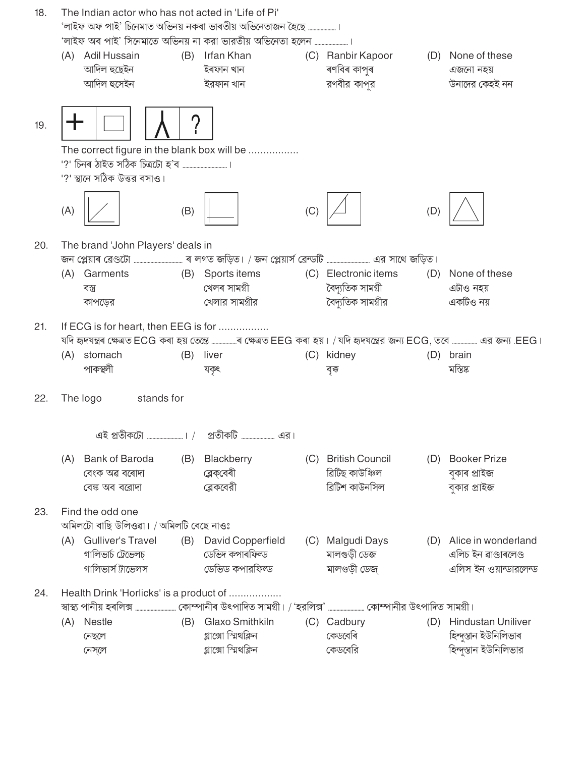| 18. |     | The Indian actor who has not acted in 'Life of Pi' |     |                                                                                                                                        |     |                                                          |     |                                                  |
|-----|-----|----------------------------------------------------|-----|----------------------------------------------------------------------------------------------------------------------------------------|-----|----------------------------------------------------------|-----|--------------------------------------------------|
|     |     |                                                    |     | 'লাইফ অফ পাই' চিনেমাত অভিনয় নকৰা ভাৰতীয় অভিনেতাজন হৈছে ………………।<br>'লাইফ অব পাই' সিনেমাতে অভিনয় না করা ভারতীয় অভিনেতা হলেন …………………… |     |                                                          |     |                                                  |
|     | (A) | Adil Hussain<br>আদিল হুছেইন<br>আদিল হুসেইন         | (B) | Irfan Khan<br>ইৰফান খান<br>ইরফান খান                                                                                                   |     | (C) Ranbir Kapoor<br>ৰণবিৰ কাপুৰ<br>রণবীর কাপর           |     | (D) None of these<br>এজনো নহয়<br>উনাদের কেহই নন |
| 19. |     |                                                    | 7   |                                                                                                                                        |     |                                                          |     |                                                  |
|     |     | '?' স্থানে সঠিক উত্তর বসাও।                        |     | The correct figure in the blank box will be                                                                                            |     |                                                          |     |                                                  |
|     | (A) |                                                    | (B) |                                                                                                                                        | (C) |                                                          | (D) |                                                  |
| 20. |     | The brand 'John Players' deals in                  |     |                                                                                                                                        |     |                                                          |     |                                                  |
|     |     |                                                    |     | জন প্লেয়াৰ ব্রেণ্ডটো ……………………………… ৰ লগত জড়িত। / জন প্লেয়ার্স ব্রেন্ডটি ………………………… এর সাথে জড়িত।                                    |     |                                                          |     |                                                  |
|     | (A) | Garments<br>বস্ত্ৰ                                 | (B) | Sports items<br>খেলৰ সামগ্ৰী                                                                                                           |     | (C) Electronic items<br>বৈদ্যতিক সামগ্ৰী                 |     | (D) None of these<br>এটাও নহয়                   |
|     |     | কাপড়ের                                            |     | খেলার সামগ্রীর                                                                                                                         |     | বৈদ্যুতিক সামগ্রীর                                       |     | একটিও নয়                                        |
| 21. |     | If ECG is for heart, then EEG is for               |     | যদি হৃদযন্ত্ৰৰ ক্ষেত্ৰত ECG কৰা হয় তেন্তে …………….ৰ ক্ষেত্ৰত EEG কৰা হয়। / যদি হৃদযন্ত্ৰের জন্য ECG, তবে ……………. এর জন্য .EEG।          |     |                                                          |     |                                                  |
|     |     | (A) stomach                                        |     | (B) liver                                                                                                                              |     | (C) kidney                                               |     | (D) brain                                        |
|     |     | পাকস্থলী                                           |     | যকৃৎ                                                                                                                                   |     | বৃক্ক                                                    |     | মস্তিষ্ক                                         |
| 22. |     | The logo<br>stands for                             |     |                                                                                                                                        |     |                                                          |     |                                                  |
|     |     |                                                    |     | এই প্রতীকটো ………………………। /     প্রতীকটি ……………………… এর।                                                                                    |     |                                                          |     |                                                  |
|     | (A) | Bank of Baroda<br>বেংক অৱ বৰোদা<br>বেঙ্ক অব বরোদা  | (B) | Blackberry<br>ব্লেক্বেৰী<br>ব্লেকবেরী                                                                                                  |     | (C) British Council<br>ৱিটিছ কাউঞ্চিল<br>ব্রিটিশ কাউনসিল |     | (D) Booker Prize<br>বুকাৰ প্ৰাইজ<br>বুকার প্রাইজ |
| 23. |     | Find the odd one                                   |     |                                                                                                                                        |     |                                                          |     |                                                  |
|     |     | অমিলটো বাছি উলিওৱা। / অমিলটি বেছে নাওঃ             |     |                                                                                                                                        |     |                                                          |     |                                                  |
|     | (A) | Gulliver's Travel<br>গালিভার্চ ট্রেভেলচ            |     | (B) David Copperfield<br>ডেভিদ কপাৰফিল্ড                                                                                               |     | (C) Malgudi Days<br>মালগুড়ী ডেজ                         |     | (D) Alice in wonderland<br>এলিচ ইন ৱাণ্ডাৰলেণ্ড  |
|     |     | গালিভার্স ট্রাভেলস                                 |     | ডেভিড কপারফিল্ড                                                                                                                        |     | মালগুড়ী ডেজ                                             |     | এলিস ইন ওয়ান্ডারলেন্ড                           |
| 24. |     | Health Drink 'Horlicks' is a product of            |     |                                                                                                                                        |     |                                                          |     |                                                  |
|     | (A) | Nestle                                             | (B) | Glaxo Smithkiln                                                                                                                        |     | (C) Cadbury                                              |     | (D) Hindustan Uniliver                           |
|     |     | নেছলে                                              |     | গ্লাক্সো স্মিথক্লিন                                                                                                                    |     | কেডবেৰি                                                  |     | হিন্দুস্তান ইউনিলিভাৰ                            |
|     |     | নেস্লে                                             |     | গ্লাক্সো স্মিথক্লিন                                                                                                                    |     | কেডবেরি                                                  |     | হিন্দুস্তান ইউনিলিভার                            |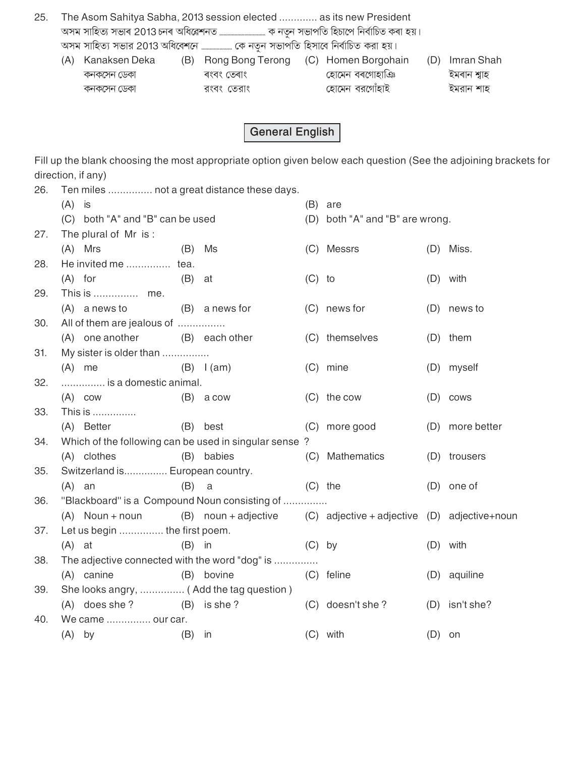- The Asom Sahitya Sabha, 2013 session elected ............. as its new President 25. অসম সাহিত্য সভার 2013 অধিবেশনে ........................ কে নতুন সভাপতি হিসাবে নির্বাচিত করা হয়।
	- (A) Kanaksen Deka কনকসেন ডেকা কনকসেন ডেকা

ৰংবং তেৰাং রংবং তেরাং

(B) Rong Bong Terong (C) Homen Borgohain হোমেন বৰগোহাঞি হোমেন বরগোঁহাই

(D) Imran Shah ইমৰান শ্বাহ ইমরান শাহ

**General English** 

Fill up the blank choosing the most appropriate option given below each question (See the adjoining brackets for direction, if any)

| 26. | $(A)$ is |                                          |          | Ten miles  not a great distance these days.                             |          | $(B)$ are                       |          |                 |
|-----|----------|------------------------------------------|----------|-------------------------------------------------------------------------|----------|---------------------------------|----------|-----------------|
|     |          | (C) both "A" and "B" can be used         |          |                                                                         |          | (D) both "A" and "B" are wrong. |          |                 |
| 27. |          | The plural of Mr is:                     |          |                                                                         |          |                                 |          |                 |
|     |          | $(A)$ Mrs                                | (B)      | Ms                                                                      |          | (C) Messrs                      |          | (D) Miss.       |
| 28. |          | He invited me  tea.                      |          |                                                                         |          |                                 |          |                 |
|     |          | $(A)$ for                                | (B)      | at                                                                      | $(C)$ to |                                 |          | $(D)$ with      |
| 29. |          | This is  me.                             |          |                                                                         |          |                                 |          |                 |
|     |          | $(A)$ a news to $(B)$ a news for         |          |                                                                         |          | (C) news for                    |          | (D) news to     |
| 30. |          | All of them are jealous of               |          |                                                                         |          |                                 |          |                 |
|     |          | (A) one another                          |          | (B) each other                                                          |          | (C) themselves                  |          | (D) them        |
| 31. |          | My sister is older than                  |          |                                                                         |          |                                 |          |                 |
|     |          | $(A)$ me                                 |          | $(B)$ $l(am)$                                                           |          | (C) mine                        |          | (D) myself      |
| 32. |          | is a domestic animal.                    |          |                                                                         |          |                                 |          |                 |
|     |          | $(A)$ cow                                |          | $(B)$ a cow                                                             |          | (C) the cow                     |          | $(D)$ cows      |
| 33. |          | This is                                  |          |                                                                         |          |                                 |          |                 |
|     |          | (A) Better                               |          | (B) best                                                                |          | (C) more good                   |          | (D) more better |
| 34. |          |                                          |          | Which of the following can be used in singular sense?                   |          |                                 |          |                 |
|     |          | (A) clothes                              |          | (B) babies                                                              |          | (C) Mathematics                 |          | (D) trousers    |
| 35. |          | Switzerland is European country.         |          |                                                                         |          |                                 |          |                 |
|     |          | $(A)$ an                                 | (B)      | a                                                                       |          | $(C)$ the                       |          | $(D)$ one of    |
| 36. |          |                                          |          | "Blackboard" is a Compound Noun consisting of                           |          |                                 |          |                 |
|     |          | $(A)$ Noun + noun                        |          | (B) noun + adjective $(C)$ adjective + adjective $(D)$ adjective + noun |          |                                 |          |                 |
| 37. |          | Let us begin  the first poem.            |          |                                                                         |          |                                 |          |                 |
|     | $(A)$ at |                                          | $(B)$ in |                                                                         | $(C)$ by |                                 |          | (D) with        |
| 38. |          |                                          |          | The adjective connected with the word "dog" is                          |          |                                 |          |                 |
|     |          | (A) canine                               |          | (B) bovine                                                              |          | (C) feline                      |          | (D) aquiline    |
| 39. |          | She looks angry,  (Add the tag question) |          |                                                                         |          |                                 |          |                 |
|     |          | (A) does she?                            |          | $(B)$ is she?                                                           |          | (C) doesn't she?                |          | (D) isn't she?  |
| 40. |          | We came  our car.                        |          |                                                                         |          |                                 |          |                 |
|     |          | $(A)$ by                                 | (B)      | in                                                                      |          | $(C)$ with                      | $(D)$ on |                 |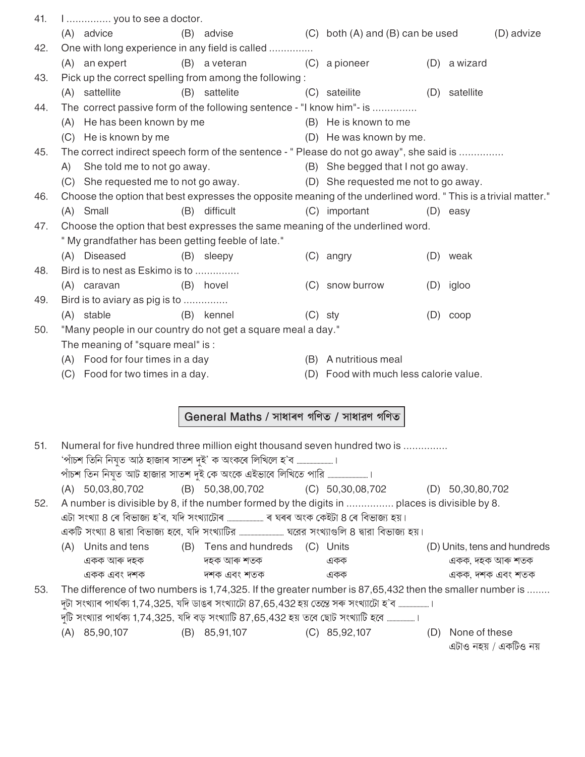| 41. | I  you to see a doctor.                           |                                                                                                                |                                        |               |            |
|-----|---------------------------------------------------|----------------------------------------------------------------------------------------------------------------|----------------------------------------|---------------|------------|
|     | (A) advice                                        | (B) advise                                                                                                     | $(C)$ both $(A)$ and $(B)$ can be used |               | (D) advize |
| 42. |                                                   | One with long experience in any field is called                                                                |                                        |               |            |
|     | (A) an expert                                     | (B) a veteran                                                                                                  | (C) a pioneer                          | (D) a wizard  |            |
| 43. |                                                   | Pick up the correct spelling from among the following:                                                         |                                        |               |            |
|     | (A) sattellite                                    | (B) sattelite                                                                                                  | (C) sateilite                          | (D) satellite |            |
| 44. |                                                   | The correct passive form of the following sentence - "I know him"- is                                          |                                        |               |            |
|     | (A) He has been known by me                       |                                                                                                                | (B) He is known to me                  |               |            |
|     | (C) He is known by me                             |                                                                                                                | (D) He was known by me.                |               |            |
| 45. |                                                   | The correct indirect speech form of the sentence - " Please do not go away", she said is                       |                                        |               |            |
|     | A) She told me to not go away.                    |                                                                                                                | (B) She begged that I not go away.     |               |            |
|     | (C) She requested me to not go away.              |                                                                                                                | (D) She requested me not to go away.   |               |            |
| 46. |                                                   | Choose the option that best expresses the opposite meaning of the underlined word. "This is a trivial matter." |                                        |               |            |
|     | (A) Small                                         | (B) difficult                                                                                                  | (C) important                          | (D) easy      |            |
| 47. |                                                   | Choose the option that best expresses the same meaning of the underlined word.                                 |                                        |               |            |
|     | "My grandfather has been getting feeble of late." |                                                                                                                |                                        |               |            |
|     | (A) Diseased                                      | (B) sleepy                                                                                                     | $(C)$ angry                            | (D) weak      |            |
| 48. | Bird is to nest as Eskimo is to                   |                                                                                                                |                                        |               |            |
|     | (A) caravan                                       | (B) hovel                                                                                                      | (C) snow burrow                        | $(D)$ igloo   |            |
| 49. | Bird is to aviary as pig is to                    |                                                                                                                |                                        |               |            |
|     | (A) stable                                        | (B) kennel                                                                                                     | $(C)$ sty                              | $(D)$ coop    |            |
| 50. |                                                   | "Many people in our country do not get a square meal a day."                                                   |                                        |               |            |
|     | The meaning of "square meal" is :                 |                                                                                                                |                                        |               |            |
|     | (A) Food for four times in a day                  |                                                                                                                | (B) A nutritious meal                  |               |            |
|     | (C) Food for two times in a day.                  |                                                                                                                | (D) Food with much less calorie value. |               |            |
|     |                                                   |                                                                                                                |                                        |               |            |
|     |                                                   |                                                                                                                |                                        |               |            |
|     |                                                   | General Maths / সাধাৰণ গণিত / সাধারণ গণিত                                                                      |                                        |               |            |
| 51. |                                                   | Numeral for five hundred three million eight thousand seven hundred two is                                     |                                        |               |            |
|     |                                                   | 'পাঁচশ তিনি নিযুত আঠ হাজাৰ সাতশ দুই' ক অংকৰে লিখিলে হ'ব ।                                                      |                                        |               |            |
|     |                                                   |                                                                                                                |                                        |               |            |
|     |                                                   |                                                                                                                |                                        |               |            |

| $(A)$ 50,03,80,702 | $(B)$ 50,38,00,702 | $(C)$ 50,30,08,702 | $(D)$ 50,30,80,702 |
|--------------------|--------------------|--------------------|--------------------|

52. A number is divisible by 8, if the number formed by the digits in ................ places is divisible by 8. AOôç aeFîç 8 å» ×[ý\öçLî c÷'[ý, ^×V aeFîçäOôç» .......................... » H»» %eEõ åEõ+Oôç 8 å» ×[ý\öçLî c÷Ì^\* AEõ×Oô aeFîç 8 ¥çÌ[ýç ×[ý\öçLî c÷ã[ý, ^×V aeFîç×OôÌ[ý ................................ HãÌ[ýÌ[ý aeFîçm×\_ 8 ¥çÌ[ýç ×[ý\öçLî c÷Ì^\* (A) Units and tens (B) Tens and hundreds (C) Units (D) Units, tens and hundreds AEõEõ %ç»Ó Vc÷Eõ Vc÷Eõ %ç»Ó `TöEõ AEõEõ AEõEõ, Vc÷Eõ %ç»Ó `TöEõ AEõEõ A[ýe V`Eõ V`Eõ A[ýe `TöEõ AEõEõ AEõEõ, V`Eõ A[ýe `TöEõ

53. The difference of two numbers is 1,74,325. If the greater number is 87,65,432 then the smaller number is ........ দুটা সংখ্যাৰ পাৰ্থক্য 1,74,325, যদি ডাঙৰ সংখ্যাটো 87,65,432 হয় তেন্তে সৰু সংখ্যাটো হ'ব ...................... দুটি সংখ্যার পার্থক্য 1,74,325, যদি বড় সংখ্যাটি 87,65,432 হয় তবে ছোট সংখ্যাটি হবে ..........................<br>(A) 85,90,107 (B) 85,91,107 (C) 85,92,107 (C) 85,92,107 (D) None of these

এটাও নহয় / একটিও নয়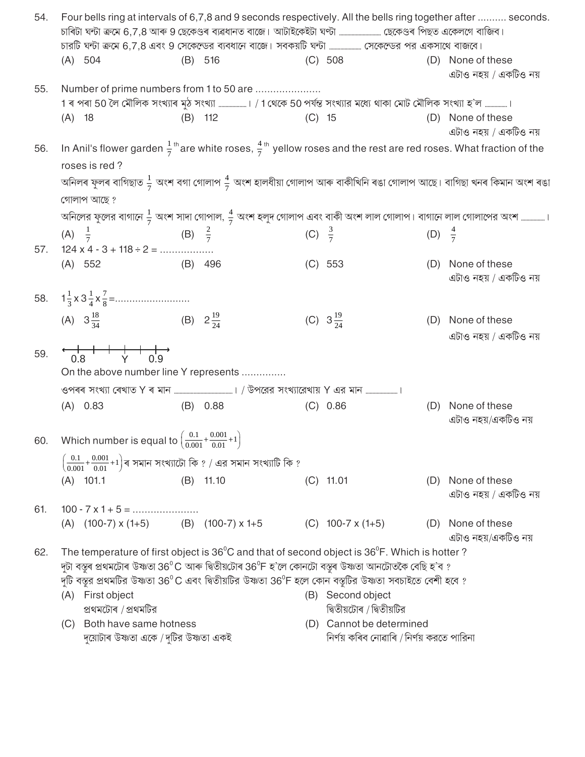| 54. |                  |                                                                                                  |           |                                                                                                                                                                                                                                      |          |                                                |                                           | Four bells ring at intervals of 6,7,8 and 9 seconds respectively. All the bells ring together after  seconds.                                                  |
|-----|------------------|--------------------------------------------------------------------------------------------------|-----------|--------------------------------------------------------------------------------------------------------------------------------------------------------------------------------------------------------------------------------------|----------|------------------------------------------------|-------------------------------------------|----------------------------------------------------------------------------------------------------------------------------------------------------------------|
|     |                  |                                                                                                  |           | চারটি ঘন্টা ক্রমে 6,7,8 এবং 9 সেকেন্ডের ব্যবধানে বাজে। সবকয়টি ঘন্টা  সেকেন্ডের পর একসাথে বাজবে।                                                                                                                                     |          |                                                |                                           |                                                                                                                                                                |
|     | (A) 504          |                                                                                                  |           | (B) 516                                                                                                                                                                                                                              |          | $(C)$ 508                                      |                                           | (D) None of these<br>এটাও নহয় / একটিও নয়                                                                                                                     |
| 55. |                  |                                                                                                  |           | Number of prime numbers from 1 to 50 are                                                                                                                                                                                             |          |                                                |                                           |                                                                                                                                                                |
|     |                  |                                                                                                  |           | 1 ৰ পৰা 50 লৈ মৌলিক সংখ্যাৰ মুঠ সংখ্যা । / 1 থেকে 50 পৰ্যন্ত সংখ্যার মধ্যে থাকা মোট মৌলিক সংখ্যা হ'ল ।                                                                                                                               |          |                                                |                                           |                                                                                                                                                                |
|     | $(A)$ 18         |                                                                                                  |           | $(B)$ 112                                                                                                                                                                                                                            | $(C)$ 15 |                                                |                                           | (D) None of these<br>এটাও নহয় / একটিও নয়                                                                                                                     |
| 56. | roses is red?    |                                                                                                  |           |                                                                                                                                                                                                                                      |          |                                                |                                           | In Anil's flower garden $\frac{1}{7}$ <sup>th</sup> are white roses, $\frac{4}{7}$ <sup>th</sup> yellow roses and the rest are red roses. What fraction of the |
|     |                  |                                                                                                  |           |                                                                                                                                                                                                                                      |          |                                                |                                           | অনিলৰ ফুলৰ বাগিছাত $\frac{1}{7}$ অংশ বগা গোলাপ $\frac{4}{7}$ অংশ হালধীয়া গোলাপ আৰু বাকীখিনি ৰঙা গোলাপ আছে। বাগিছা খনৰ কিমান অংশ ৰঙা                           |
|     | গোলাপ আছে ?      |                                                                                                  |           |                                                                                                                                                                                                                                      |          |                                                |                                           |                                                                                                                                                                |
|     |                  |                                                                                                  |           |                                                                                                                                                                                                                                      |          |                                                |                                           | অনিলের ফুলের বাগানে $\frac{1}{7}$ অংশ সাদা গোপাল, $\frac{4}{7}$ অংশ হলুদ গোলাপ এবং বাকী অংশ লাল গোলাপ। বাগানে লাল গোলাপের অংশ ।                                |
| 57. |                  | (A) $\frac{1}{7}$ (B) $\frac{2}{7}$<br>$124 \times 4 - 3 + 118 \div 2 = \dots \dots \dots \dots$ |           |                                                                                                                                                                                                                                      |          | (C) $\frac{3}{7}$                              | (D) $\frac{4}{7}$                         |                                                                                                                                                                |
|     | (A) 552          |                                                                                                  | $(B)$ 496 |                                                                                                                                                                                                                                      |          | (C) 553                                        |                                           | (D) None of these<br>এটাও নহয় / একটিও নয়                                                                                                                     |
|     |                  |                                                                                                  |           |                                                                                                                                                                                                                                      |          |                                                |                                           |                                                                                                                                                                |
|     |                  | (A) $3\frac{18}{34}$ (B) $2\frac{19}{24}$                                                        |           |                                                                                                                                                                                                                                      |          | (C) $3\frac{19}{24}$                           |                                           | (D) None of these<br>এটাও নহয় / একটিও নয়                                                                                                                     |
| 59. |                  |                                                                                                  |           | On the above number line Y represents                                                                                                                                                                                                |          |                                                |                                           |                                                                                                                                                                |
|     |                  |                                                                                                  |           |                                                                                                                                                                                                                                      |          |                                                |                                           |                                                                                                                                                                |
|     | $(A)$ 0.83       |                                                                                                  |           | $(B)$ 0.88                                                                                                                                                                                                                           |          | (C) 0.86                                       | (D)                                       | None of these<br>এটাও নহয়/একটিও নয়                                                                                                                           |
|     |                  | 60. Which number is equal to $\left(\frac{0.1}{0.001} + \frac{0.001}{0.01} + 1\right)$           |           |                                                                                                                                                                                                                                      |          |                                                |                                           |                                                                                                                                                                |
|     |                  |                                                                                                  |           | $\left(\frac{0.1}{0.001}+\frac{0.001}{0.01}+1\right)$ ৰ সমান সংখ্যাটো কি ? / এর সমান সংখ্যাটি কি ?                                                                                                                                   |          |                                                |                                           |                                                                                                                                                                |
|     | $(A)$ 101.1      |                                                                                                  |           | $(B)$ 11.10                                                                                                                                                                                                                          |          | $(C)$ 11.01                                    |                                           | (D) None of these<br>এটাও নহয় / একটিও নয়                                                                                                                     |
| 61. |                  | $100 - 7 \times 1 + 5 = \dots \dots \dots \dots \dots \dots$                                     |           |                                                                                                                                                                                                                                      |          |                                                |                                           |                                                                                                                                                                |
|     |                  | (A) $(100-7) \times (1+5)$ (B) $(100-7) \times 1+5$                                              |           |                                                                                                                                                                                                                                      |          | $(C)$ 100-7 x (1+5)                            |                                           | (D) None of these<br>এটাও নহয়/একটিও নয়                                                                                                                       |
| 62. |                  |                                                                                                  |           | The temperature of first object is 36 <sup>°</sup> C and that of second object is 36 <sup>°</sup> F. Which is hotter?<br>দুটা বস্তুৰ প্ৰথমটোৰ উষ্ণতা 36 $^0$ C আৰু দ্বিতীয়টোৰ 36 $^0$ F হ'লে কোনটো বস্তুৰ উষ্ণতা আনটোতকৈ বেছি হ'ব ? |          |                                                |                                           |                                                                                                                                                                |
|     |                  |                                                                                                  |           | দুটি বস্তুর প্রথমটির উষ্ণতা 36 $^0$ C এবং দ্বিতীয়টির উষ্ণতা 36 $^0$ F হলে কোন বস্তুটির উষ্ণতা সবচাইতে বেশী হবে ?                                                                                                                    |          |                                                |                                           |                                                                                                                                                                |
|     | (A) First object | প্ৰথমটোৰ / প্ৰথমটির                                                                              |           |                                                                                                                                                                                                                                      |          | (B) Second object<br>দ্বিতীয়টোৰ / দ্বিতীয়টির |                                           |                                                                                                                                                                |
|     | (C)              | Both have same hotness                                                                           |           |                                                                                                                                                                                                                                      |          | (D) Cannot be determined                       |                                           |                                                                                                                                                                |
|     |                  | দুয়োটাৰ উষ্ণতা একে / দুটির উষ্ণতা একই                                                           |           |                                                                                                                                                                                                                                      |          |                                                | নিৰ্ণয় কৰিব নোৱাৰি / নিৰ্ণয় করতে পারিনা |                                                                                                                                                                |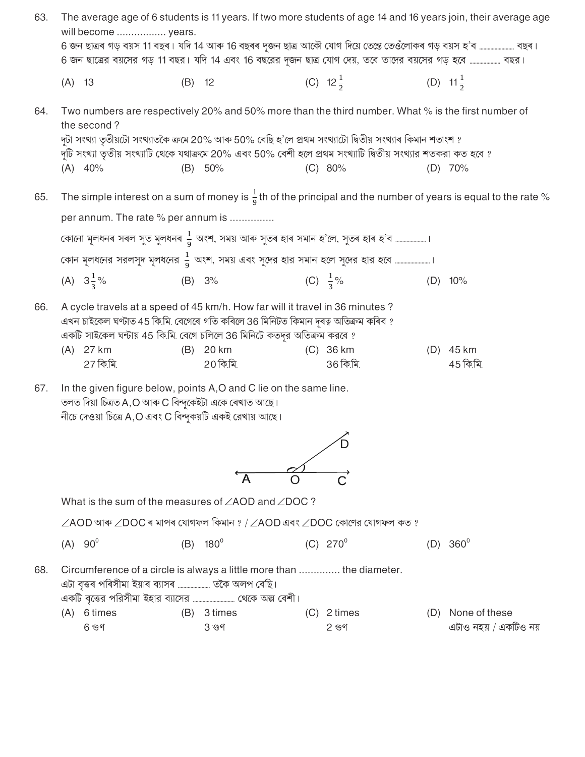| 63. |            | will become  years.                                                                                               |          |                                                                                                                                                                                                                                                                            |                          |     | The average age of 6 students is 11 years. If two more students of age 14 and 16 years join, their average age            |
|-----|------------|-------------------------------------------------------------------------------------------------------------------|----------|----------------------------------------------------------------------------------------------------------------------------------------------------------------------------------------------------------------------------------------------------------------------------|--------------------------|-----|---------------------------------------------------------------------------------------------------------------------------|
|     |            |                                                                                                                   |          | 6 জন ছাত্ৰৰ গড় বয়স 11 বছৰ। যদি 14 আৰু 16 বছৰৰ দুজন ছাত্ৰ আকৌ যোগ দিয়ে তেন্তে তেওঁলোকৰ গড় বয়স হ'ব …………………… বছৰ।                                                                                                                                                        |                          |     |                                                                                                                           |
|     |            |                                                                                                                   |          | 6 জন ছাত্রের বয়সের গড় 11 বছর। যদি 14 এবং 16 বছরের দুজন ছাত্র যোগ দেয়, তবে তাদের বয়সের গড় হবে  বছর।                                                                                                                                                                    |                          |     |                                                                                                                           |
|     | $(A)$ 13   |                                                                                                                   | $(B)$ 12 |                                                                                                                                                                                                                                                                            | (C) $12\frac{1}{2}$      |     | (D) $11\frac{1}{2}$                                                                                                       |
| 64. |            | the second?                                                                                                       |          | Two numbers are respectively 20% and 50% more than the third number. What % is the first number of                                                                                                                                                                         |                          |     |                                                                                                                           |
|     |            |                                                                                                                   |          | দুটা সংখ্যা তৃতীয়টো সংখ্যাতকৈ ক্ৰমে 20% আৰু 50% বেছি হ'লে প্ৰথম সংখ্যাটো দ্বিতীয় সংখ্যাৰ কিমান শতাংশ ?<br>দুটি সংখ্যা তৃতীয় সংখ্যাটি থেকে যথাক্রমে 20% এবং 50% বেশী হলে প্রথম সংখ্যাটি দ্বিতীয় সংখ্যার শতকরা কত হবে ?                                                  |                          |     |                                                                                                                           |
|     |            | $(A)$ 40%                                                                                                         |          | (B) 50%                                                                                                                                                                                                                                                                    | (C) 80%                  |     | $(D)$ 70%                                                                                                                 |
| 65. |            |                                                                                                                   |          |                                                                                                                                                                                                                                                                            |                          |     | The simple interest on a sum of money is $\frac{1}{9}$ th of the principal and the number of years is equal to the rate % |
|     |            | per annum. The rate % per annum is                                                                                |          |                                                                                                                                                                                                                                                                            |                          |     |                                                                                                                           |
|     |            |                                                                                                                   |          | কোনো মূলধনৰ সৰল সুত মুলধনৰ $\frac{1}{9}$ অংশ, সময় আৰু সুতৰ হাৰ সমান হ'লে, সুতৰ হাৰ হ'ব                                                                                                                                                                                    |                          |     |                                                                                                                           |
|     |            |                                                                                                                   |          |                                                                                                                                                                                                                                                                            |                          |     |                                                                                                                           |
|     |            | (A) $3\frac{1}{3}\%$                                                                                              |          | (B) 3%                                                                                                                                                                                                                                                                     | (C) $\frac{1}{3}\%$      |     | $(D)$ 10%                                                                                                                 |
| 66. |            | (A) 27 km<br>27 কি.মি.                                                                                            |          | A cycle travels at a speed of 45 km/h. How far will it travel in 36 minutes ?<br>এখন চাইকেল ঘণ্টাত 45 কি.মি. বেগেৰে গতি কৰিলে 36 মিনিটত কিমান দূৰত্ব অতিক্ৰম কৰিব ?<br>একটি সাইকেল ঘন্টায় 45 কি.মি. বেগে চলিলে 36 মিনিটে কতদূর অতিক্রম করবে ?<br>(B) 20 km<br>$20$ কি.মি. | $(C)$ 36 km<br>36 কি.মি. |     | (D) 45 km<br>45 কি.মি.                                                                                                    |
| 67. |            | তলত দিয়া চিত্ৰত A,O আৰু C বিন্দুকেইটা একে ৰেখাত আছে।<br>নীচে দেওয়া চিত্রে A,O এবং C বিন্দুকয়টি একই রেখায় আছে। |          | In the given figure below, points A,O and C lie on the same line.                                                                                                                                                                                                          |                          |     |                                                                                                                           |
|     |            |                                                                                                                   |          |                                                                                                                                                                                                                                                                            |                          |     |                                                                                                                           |
|     |            |                                                                                                                   |          | A                                                                                                                                                                                                                                                                          |                          |     |                                                                                                                           |
|     |            |                                                                                                                   |          | What is the sum of the measures of $\angle AOD$ and $\angle DOC$ ?                                                                                                                                                                                                         |                          |     |                                                                                                                           |
|     |            |                                                                                                                   |          | $\angle$ AOD আৰু $\angle$ DOC ৰ মাপৰ যোগফল কিমান ? / $\angle$ AOD এবং $\angle$ DOC কোণের যোগফল কত ?                                                                                                                                                                        |                          |     |                                                                                                                           |
|     | $(A) 90^0$ |                                                                                                                   |          | $(B)$ 180 <sup>0</sup>                                                                                                                                                                                                                                                     | $(C) 270^{\circ}$        |     | (D) $360^{\circ}$                                                                                                         |
| 68. |            | এটা বৃত্তৰ পৰিসীমা ইয়াৰ ব্যাসৰ  তকৈ অলপ বেছি।                                                                    |          | Circumference of a circle is always a little more than  the diameter.                                                                                                                                                                                                      |                          |     |                                                                                                                           |
|     |            | (A) 6 times                                                                                                       |          | (B) 3 times                                                                                                                                                                                                                                                                | $(C)$ 2 times            | (D) | None of these                                                                                                             |
|     |            | 6 গুণ                                                                                                             |          | 3 গুণ                                                                                                                                                                                                                                                                      | 2 গুণ                    |     | এটাও নহয় / একটিও নয়                                                                                                     |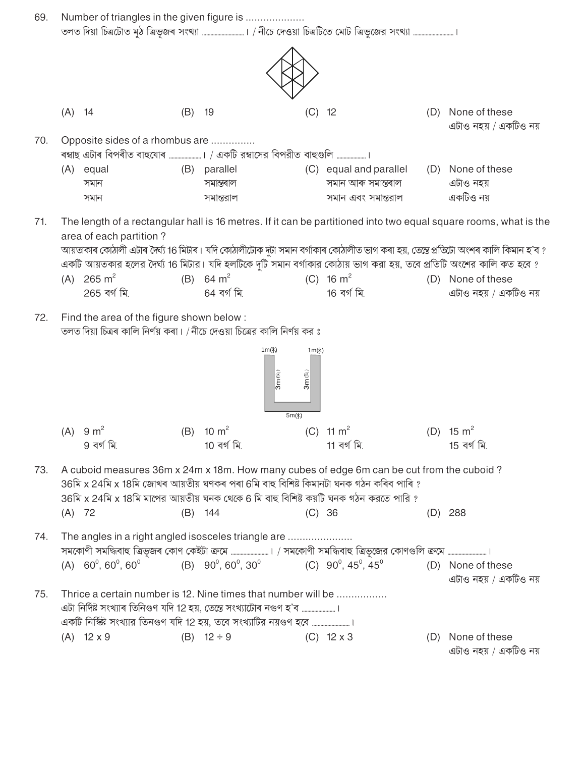| 69. |                                          | Number of triangles in the given figure is                                                                                                                                                                                                                                     |                                                                    |                                                                                                                                   |
|-----|------------------------------------------|--------------------------------------------------------------------------------------------------------------------------------------------------------------------------------------------------------------------------------------------------------------------------------|--------------------------------------------------------------------|-----------------------------------------------------------------------------------------------------------------------------------|
|     |                                          |                                                                                                                                                                                                                                                                                |                                                                    |                                                                                                                                   |
|     | $(A)$ 14                                 | (B)<br>- 19                                                                                                                                                                                                                                                                    | (C)<br>12                                                          | None of these<br>(D)<br>এটাও নহয় / একটিও নয়                                                                                     |
| 70. | Opposite sides of a rhombus are          | ৰম্বাছ এটাৰ বিপৰীত বাহুযোৰ । / একটি রম্বাসের বিপরীত বাহুগুলি ।                                                                                                                                                                                                                 |                                                                    |                                                                                                                                   |
|     | (A) equal<br>সমান<br>সমান                | (B) parallel<br>সমান্তৰাল<br>সমান্তরাল                                                                                                                                                                                                                                         | (C) equal and parallel<br>সমান আৰু সমান্তৰাল<br>সমান এবং সমান্তরাল | (D) None of these<br>এটাও নহয়<br>একটিও নয়                                                                                       |
| 71. | area of each partition?                  |                                                                                                                                                                                                                                                                                |                                                                    | The length of a rectangular hall is 16 metres. If it can be partitioned into two equal square rooms, what is the                  |
|     |                                          | একটি আয়তকার হলের দৈর্ঘ্য 16 মিটার। যদি হলটিকে দুটি সমান বর্গাকার কোঠায় ভাগ করা হয়, তবে প্রতিটি অংশের কালি কত হবে ?                                                                                                                                                          |                                                                    | আয়তাকাৰ কোঠালী এটাৰ দৈৰ্ঘ্য 16 মিটাৰ। যদি কোঠালীটোক দুটা সমান বৰ্গাকাৰ কোঠালীত ভাগ কৰা হয়, তেন্তে প্ৰতিটো অংশৰ কালি কিমান হ'ব ? |
|     | (A) $265 \text{ m}^2$<br>265 বৰ্গ মি.    | (B) 64 $m^2$<br>64 বৰ্গ মি.                                                                                                                                                                                                                                                    | (C) 16 $m^2$<br>16 বৰ্গ মি.                                        | (D) None of these<br>এটাও নহয় / একটিও নয়                                                                                        |
| 72. | Find the area of the figure shown below: | তলত দিয়া চিত্ৰৰ কালি নিৰ্ণয় কৰা। /নীচে দেওয়া চিত্ৰের কালি নিৰ্ণয় কর ঃ                                                                                                                                                                                                      |                                                                    |                                                                                                                                   |
|     |                                          | 1 $m(*)$<br>$3m$ (R)<br>$5m(\lambda)$                                                                                                                                                                                                                                          | 1 $m(x)$<br>3mm                                                    |                                                                                                                                   |
|     | (A) 9 m <sup>2</sup><br>9 বৰ্গ মি.       | (B) 10 $m^2$<br>10 বৰ্গ মি.                                                                                                                                                                                                                                                    | (C) 11 $m^2$<br>11 বৰ্গ মি.                                        | (D) $15 \text{ m}^2$<br>15 বৰ্গ মি.                                                                                               |
| 73. |                                          | A cuboid measures 36m x 24m x 18m. How many cubes of edge 6m can be cut from the cuboid ?<br>$36$ মি x 24মি x 18মি জোখৰ আয়তীয় ঘণকৰ পৰা 6মি বাহু বিশিষ্ট কিমানটা ঘনক গঠন কৰিব পাৰি ?<br>36মি x 24মি x 18মি মাপের আয়তীয় ঘনক থেকে 6 মি বাহু বিশিষ্ট কয়টি ঘনক গঠন করতে পারি ? |                                                                    |                                                                                                                                   |
|     | $(A)$ 72                                 | $(B)$ 144                                                                                                                                                                                                                                                                      | $(C)$ 36                                                           | $(D)$ 288                                                                                                                         |
| 74. |                                          | The angles in a right angled isosceles triangle are                                                                                                                                                                                                                            |                                                                    |                                                                                                                                   |
|     |                                          | (A) $60^{\circ}$ , $60^{\circ}$ , $60^{\circ}$ (B) $90^{\circ}$ , $60^{\circ}$ , $30^{\circ}$ (C) $90^{\circ}$ , $45^{\circ}$ , $45^{\circ}$                                                                                                                                   |                                                                    | (D) None of these<br>এটাও নহয় / একটিও নয়                                                                                        |
| 75. |                                          | Thrice a certain number is 12. Nine times that number will be<br>এটা নিৰ্দিষ্ট সংখ্যাৰ তিনিগুণ যদি 12 হয়, তেন্তে সংখ্যাটোৰ নগুণ হ'ব ।<br>একটি নির্স্কিষ্ট সংখ্যার তিনগুণ যদি 12 হয়, তবে সংখ্যাটির নয়গুণ হবে                                                                 |                                                                    |                                                                                                                                   |
|     | $(A)$ 12 x 9                             | (B) $12 \div 9$                                                                                                                                                                                                                                                                | $(C)$ 12 $\times$ 3                                                | None of these<br>(D)                                                                                                              |
|     |                                          |                                                                                                                                                                                                                                                                                |                                                                    | এটাও নহয় / একটিও নয়                                                                                                             |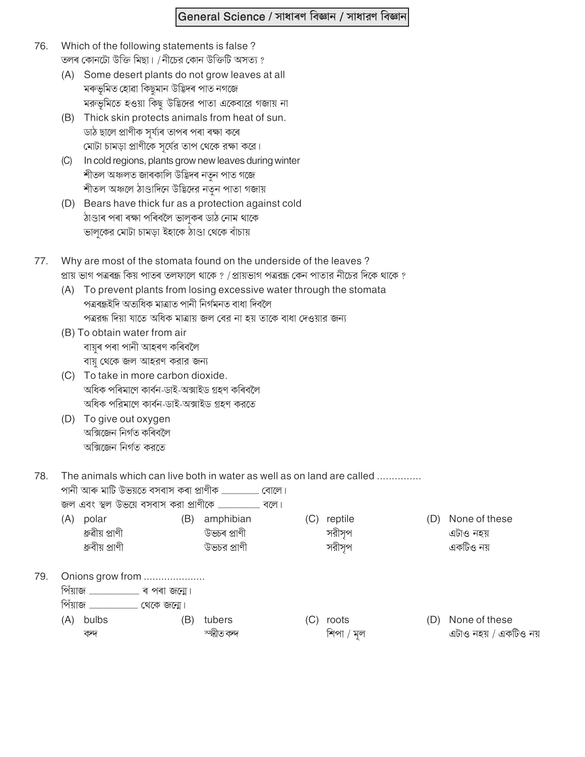## General Science / সাধাৰণ বিজ্ঞান / সাধারণ বিজ্ঞান

- 76. Which of the following statements is false? তলৰ কোনটো উক্তি মিছা। /নীচের কোন উক্তিটি অসত্য ?
	- (A) Some desert plants do not grow leaves at all মৰুভূমিত হোৱা কিছুমান উদ্ভিদৰ পাত নগজে মরুভূমিতে হওয়া কিছু উদ্ভিদের পাতা একেবারে গজায় না
	- (B) Thick skin protects animals from heat of sun. ডাঠ ছালে প্ৰাণীক সৰ্য্যৰ তাপৰ পৰা ৰক্ষা কৰে মোটা চামড়া প্রাণীকে সূর্যের তাপ থেকে রক্ষা করে।
	- (C) In cold regions, plants grow new leaves during winter শীতল অঞ্চলত জাৰকালি উদ্ভিদৰ নতুন পাত গজে শীতল অঞ্চলে ঠাণ্ডাদিনে উদ্ভিদের নতুন পাতা গজায়
	- (D) Bears have thick fur as a protection against cold ঠাণ্ডাৰ পৰা ৰক্ষা পৰিবলৈ ভালকৰ ডাঠ নোম থাকে ভালুকের মোটা চামড়া ইহাকে ঠাণ্ডা থেকে বাঁচায়
- Why are most of the stomata found on the underside of the leaves? 77. প্রায় ভাগ পত্রৰন্ধ কিয় পাতৰ তলফালে থাকে ? / প্রায়ভাগ পত্ররন্ধ কেন পাতার নীচের দিকে থাকে ?
	- (A) To prevent plants from losing excessive water through the stomata পত্ৰৰন্ধইদি অত্যধিক মাত্ৰাত পানী নিৰ্গমনত বাধা দিবলৈ পত্ররন্ধ দিয়া যাতে অধিক মাত্রায় জল বের না হয় তাকে বাধা দেওয়ার জন্য
	- (B) To obtain water from air বায়ুৰ পৰা পানী আহৰণ কৰিবলৈ বায়ু থেকে জল আহরণ করার জন্য
	- (C) To take in more carbon dioxide. অধিক পৰিমাণে কাৰ্বন-ডাই-অক্সাইড গ্ৰহণ কৰিবলৈ অধিক পরিমাণে কার্বন-ডাই-অক্সাইড গ্রহণ করতে
	- (D) To give out oxygen অক্সিজেন নিৰ্গত কৰিবলৈ অক্সিজেন নিৰ্গত করতে

79

78. The animals which can live both in water as well as on land are called ..............

| (A)     | polar<br>ধ্রুৱীয় প্রাণী<br>ধ্রুবীয় প্রাণী | (B) | amphibian<br>উভচৰ প্ৰাণী<br>উভচর প্রাণী | (C) | reptile<br>সরীসৃপ<br>সরীসপ | D)  | None of these<br>এটাও নহয়<br>একটিও নয় |
|---------|---------------------------------------------|-----|-----------------------------------------|-----|----------------------------|-----|-----------------------------------------|
| পিঁয়াজ | Onions grow from                            |     |                                         |     |                            |     |                                         |
| (A)     | bulbs<br>কন্দ                               | B)  | tubers<br>স্হ্মীত কদ                    | IU. | roots<br>শিপা / মল         | (D) | None of these<br>এটাও নহয় / একটিও নয়  |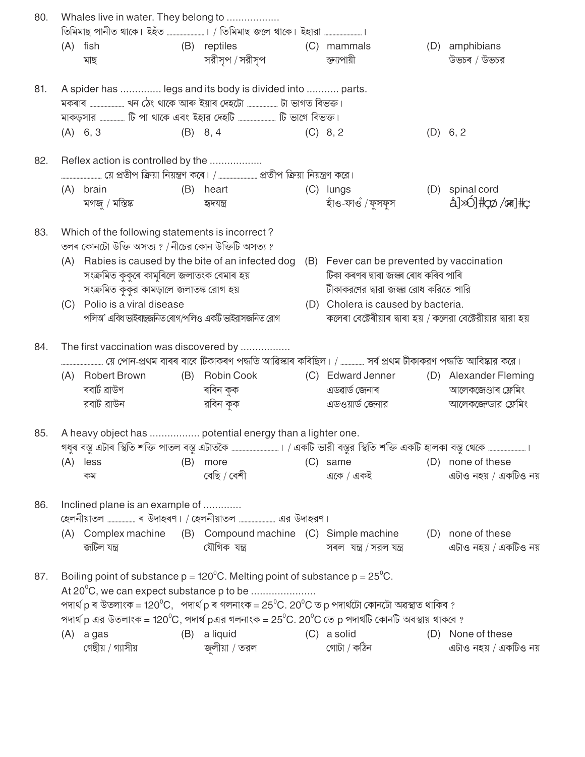| 80. |     | Whales live in water. They belong to                                                                   |     |                                                                                                                                 |                                                               |                                                                                                                                                                                                                                                                                                                                        |
|-----|-----|--------------------------------------------------------------------------------------------------------|-----|---------------------------------------------------------------------------------------------------------------------------------|---------------------------------------------------------------|----------------------------------------------------------------------------------------------------------------------------------------------------------------------------------------------------------------------------------------------------------------------------------------------------------------------------------------|
|     |     | $(A)$ fish<br>মাছ                                                                                      |     | (B) reptiles<br>সরীসৃপ / সরীসৃপ                                                                                                 | (C) mammals<br>স্তন্যপায়ী                                    | (D) amphibians<br>উভচৰ / উভচর                                                                                                                                                                                                                                                                                                          |
| 81. |     |                                                                                                        |     | A spider has  legs and its body is divided into  parts.                                                                         |                                                               |                                                                                                                                                                                                                                                                                                                                        |
|     |     |                                                                                                        |     |                                                                                                                                 |                                                               |                                                                                                                                                                                                                                                                                                                                        |
|     |     |                                                                                                        |     | মাকড়সার  টি পা থাকে এবং ইহার দেহটি  টি ভাগে বিভক্ত।                                                                            |                                                               |                                                                                                                                                                                                                                                                                                                                        |
|     |     | (A) 6, 3                                                                                               |     | $(B)$ 8, 4                                                                                                                      | (C) 8, 2                                                      | (D) 6, 2                                                                                                                                                                                                                                                                                                                               |
| 82. |     | Reflex action is controlled by the                                                                     |     |                                                                                                                                 |                                                               |                                                                                                                                                                                                                                                                                                                                        |
|     |     |                                                                                                        |     |                                                                                                                                 |                                                               |                                                                                                                                                                                                                                                                                                                                        |
|     |     | (A) brain<br>মগজু / মস্তিষ্ক                                                                           |     | (B) heart<br>হাদযন্ত                                                                                                            | (C) lungs<br>হাঁও-ফাওঁ / ফুসফুস                               | (D) spinal cord<br>$\frac{1}{2}$ $\frac{1}{2}$ $\frac{1}{2}$ $\frac{1}{2}$ $\frac{1}{2}$ $\frac{1}{2}$ $\frac{1}{2}$ $\frac{1}{2}$ $\frac{1}{2}$ $\frac{1}{2}$ $\frac{1}{2}$ $\frac{1}{2}$ $\frac{1}{2}$ $\frac{1}{2}$ $\frac{1}{2}$ $\frac{1}{2}$ $\frac{1}{2}$ $\frac{1}{2}$ $\frac{1}{2}$ $\frac{1}{2}$ $\frac{1}{2}$ $\frac{1}{2}$ |
| 83. |     | Which of the following statements is incorrect?<br>তলৰ কোনটো উক্তি অসত্য ? / নীচের কোন উক্তিটি অসত্য ? |     |                                                                                                                                 |                                                               |                                                                                                                                                                                                                                                                                                                                        |
|     |     |                                                                                                        |     | (A) Rabies is caused by the bite of an infected dog (B) Fever can be prevented by vaccination                                   |                                                               |                                                                                                                                                                                                                                                                                                                                        |
|     |     | সংক্ৰমিত কুকুৰে কামুৰিলে জলাতংক বেমাৰ হয়                                                              |     |                                                                                                                                 | টিকা কৰণৰ দ্বাৰা জস্ক্ষ ৰোধ কৰিব পাৰি                         |                                                                                                                                                                                                                                                                                                                                        |
|     |     | সংক্রমিত কুকুর কামড়ালে জলাতঙ্ক রোগ হয়                                                                |     |                                                                                                                                 | টীকাকরণের দ্বারা জস্ক্র রোধ করিতে পারি                        |                                                                                                                                                                                                                                                                                                                                        |
|     |     | (C) Polio is a viral disease                                                                           |     |                                                                                                                                 | (D) Cholera is caused by bacteria.                            |                                                                                                                                                                                                                                                                                                                                        |
|     |     | পলিঅ' এবিধ ভাইৰাছজনিত ৰোগ/পলিও একটি ভাইরাসজনিত রোগ                                                     |     |                                                                                                                                 | কলেৰা বেক্টেৰীয়াৰ দ্বাৰা হয় / কলেরা বেক্টেরীয়ার দ্বারা হয় |                                                                                                                                                                                                                                                                                                                                        |
| 84. |     | The first vaccination was discovered by                                                                |     |                                                                                                                                 |                                                               |                                                                                                                                                                                                                                                                                                                                        |
|     |     |                                                                                                        |     |                                                                                                                                 |                                                               |                                                                                                                                                                                                                                                                                                                                        |
|     |     | (A) Robert Brown                                                                                       |     | (B) Robin Cook                                                                                                                  | (C) Edward Jenner (D) Alexander Fleming                       |                                                                                                                                                                                                                                                                                                                                        |
|     |     | ৰবাৰ্ট ৱাউণ                                                                                            |     | ৰবিন কুক                                                                                                                        | এডৱাৰ্ড জেনাৰ                                                 | আলেকজেণ্ডাৰ ফ্লেমিং                                                                                                                                                                                                                                                                                                                    |
|     |     | রবার্ট ব্রাউন                                                                                          |     | রবিন কুক                                                                                                                        | এডওয়ার্ড জেনার                                               | আলেকজেন্ডার ফ্লেমিং                                                                                                                                                                                                                                                                                                                    |
| 85. |     |                                                                                                        |     | A heavy object has  potential energy than a lighter one.                                                                        |                                                               |                                                                                                                                                                                                                                                                                                                                        |
|     |     |                                                                                                        |     | গধুৰ বস্তু এটাৰ স্থিতি শক্তি পাতল বস্তু এটাতকৈ …………………………। / একটি ভারী বস্তুর স্থিতি শক্তি একটি হালকা বস্তু থেকে ………………………।     |                                                               |                                                                                                                                                                                                                                                                                                                                        |
|     | (A) | less                                                                                                   | (B) | more                                                                                                                            | (C) same                                                      | (D) none of these                                                                                                                                                                                                                                                                                                                      |
|     |     | কম                                                                                                     |     | বেছি / বেশী                                                                                                                     | একে / একই                                                     | এটাও নহয় / একটিও নয়                                                                                                                                                                                                                                                                                                                  |
| 86. |     | Inclined plane is an example of                                                                        |     |                                                                                                                                 |                                                               |                                                                                                                                                                                                                                                                                                                                        |
|     |     |                                                                                                        |     |                                                                                                                                 |                                                               |                                                                                                                                                                                                                                                                                                                                        |
|     |     | জটিল যন্ত্ৰ                                                                                            |     | (A) Complex machine (B) Compound machine (C) Simple machine<br>যৌগিক যন্ত্ৰ                                                     | সৰল যন্ত্ৰ / সরল যন্ত্ৰ                                       | (D) none of these<br>এটাও নহয় / একটিও নয়                                                                                                                                                                                                                                                                                             |
| 87. |     |                                                                                                        |     | Boiling point of substance $p = 120^{\circ}$ C. Melting point of substance $p = 25^{\circ}$ C.                                  |                                                               |                                                                                                                                                                                                                                                                                                                                        |
|     |     |                                                                                                        |     | At 20 <sup>°</sup> C, we can expect substance p to be                                                                           |                                                               |                                                                                                                                                                                                                                                                                                                                        |
|     |     |                                                                                                        |     | পদাৰ্থ p ৰ উতলাংক = 120°C, পদাৰ্থ p ৰ গলনাংক = 25°C. 20°C ত p পদাৰ্থটো কোনটো অৱস্থাত থাকিব ?                                    |                                                               |                                                                                                                                                                                                                                                                                                                                        |
|     |     |                                                                                                        |     | পদার্থ p এর উতলাংক = 120 $\rm ^{o}C$ , পদার্থ pএর গলনাংক = 25 $\rm ^{o}C$ . 20 $\rm ^{o}C$ তে p পদার্থটি কোনটি অবস্থায় থাকবে ? |                                                               |                                                                                                                                                                                                                                                                                                                                        |
|     |     | $(A)$ a gas                                                                                            |     | (B) a liquid                                                                                                                    | (C) a solid                                                   | (D) None of these                                                                                                                                                                                                                                                                                                                      |
|     |     | গেছীয় / গ্যাসীয়                                                                                      |     | জলীয়া / তরল                                                                                                                    | গোটা / কঠিন                                                   | এটাও নহয় / একটিও নয়                                                                                                                                                                                                                                                                                                                  |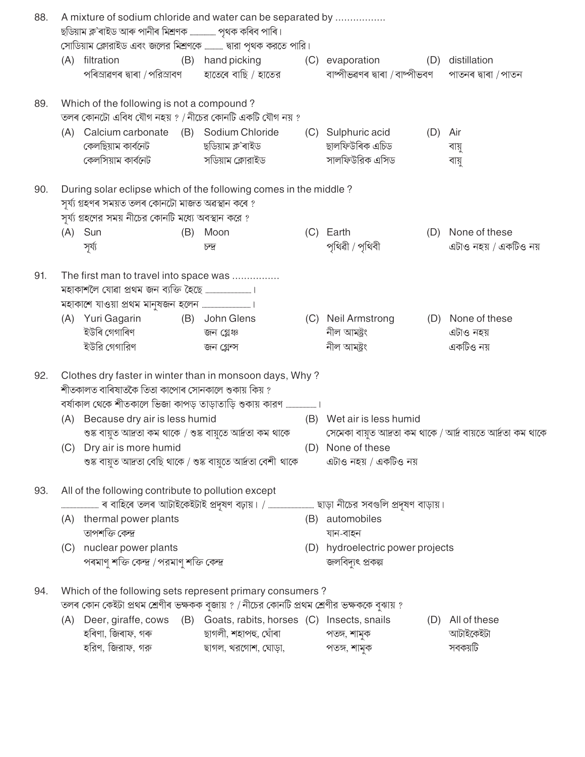| 88. |     | A mixture of sodium chloride and water can be separated by<br>ছডিয়াম ক্ল'ৰাইড আৰু পানীৰ মিশ্ৰণক  পৃথক কৰিব পাৰি।<br>সোডিয়াম ক্লোরাইড এবং জলের মিশ্রণকে  দ্বারা পৃথক করতে পারি। |     |                                            |                                                        |     |                                                              |
|-----|-----|----------------------------------------------------------------------------------------------------------------------------------------------------------------------------------|-----|--------------------------------------------|--------------------------------------------------------|-----|--------------------------------------------------------------|
|     |     | (A) filtration<br>পৰিস্ৰাৱণৰ দ্বাৰা / পরিস্ৰাবণ                                                                                                                                  |     | (B) hand picking<br>হাতেৰে বাছি / হাতের    | (C) evaporation<br>বাষ্পীভৱণৰ দ্বাৰা /বাষ্পীভবণ        |     | (D) distillation<br>পাতনৰ দ্বাৰা / পাতন                      |
| 89. |     | Which of the following is not a compound?<br>তলৰ কোনটো এবিধ যৌগ নহয় ? / নীচের কোনটি একটি যৌগ নয় ?                                                                              |     |                                            |                                                        |     |                                                              |
|     |     | (A) Calcium carbonate (B) Sodium Chloride<br>কেলছিয়াম কাৰ্বনেট<br>কেলসিয়াম কাৰ্বনেট                                                                                            |     | ছডিয়াম ক্ল'ৰাইড<br>সডিয়াম ক্লোরাইড       | (C) Sulphuric acid<br>ছালফিউৰিক এচিড<br>সালফিউরিক এসিড | (D) | Air<br>বায়ু<br>বায়ু                                        |
| 90. |     | During solar eclipse which of the following comes in the middle?<br>সৰ্য্য গ্ৰহণৰ সময়ত তলৰ কোনটো মাজত অৱস্থান কৰে ?<br>সূর্য্য গ্রহণের সময় নীচের কোনটি মধ্যে অবস্থান করে ?     |     |                                            |                                                        |     |                                                              |
|     |     | $(A)$ Sun<br>সূৰ্য্য                                                                                                                                                             | (B) | Moon<br>চন্দ্ৰ                             | (C) Earth<br>পৃথিৱী / পৃথিবী                           |     | (D) None of these<br>এটাও নহয় / একটিও নয়                   |
| 91. |     | The first man to travel into space was<br>মহাকাশলৈ যোৱা প্ৰথম জন ব্যক্তি হৈছে …………………………………………                                                                                   |     |                                            |                                                        |     |                                                              |
|     | (A) | Yuri Gagarin<br>ইউৰি গেগাৰিণ<br>ইউরি গেগারিণ                                                                                                                                     |     | (B) John Glens<br>জন গ্লেঞ্চ<br>জন গ্লেন্স | (C) Neil Armstrong<br>নীল আমষ্ট্ৰং<br>নীল আমন্ত্ৰং     |     | (D) None of these<br>এটাও নহয়<br>একটিও নয়                  |
| 92. |     | Clothes dry faster in winter than in monsoon days, Why?<br>শীতকালত বাৰিষাতকৈ তিতা কাপোৰ সোনকালে শুকায় কিয় ?                                                                    |     |                                            |                                                        |     |                                                              |
|     |     | (A) Because dry air is less humid<br>শুষ্ক বায়ুত আদ্রতা কম থাকে / শুষ্ক বায়ুতে আর্দ্রতা কম থাকে                                                                                |     |                                            | (B) Wet air is less humid                              |     | সেমেকা বায়ত আদ্ৰতা কম থাকে / আৰ্দ্ৰ বায়তে আৰ্দ্ৰতা কম থাকে |
|     |     | (C) Dry air is more humid<br>শুষ্ক বায়ুত আদ্রতা বেছি থাকে / শুষ্ক বায়ুতে আর্দ্রতা বেশী থাকে                                                                                    |     |                                            | (D) None of these<br>এটাও নহয় / একটিও নয়             |     |                                                              |
| 93. |     | All of the following contribute to pollution except                                                                                                                              |     |                                            |                                                        |     |                                                              |
|     |     | (A) thermal power plants<br>তাপশক্তি কেন্দ্ৰ                                                                                                                                     |     |                                            | (B) automobiles<br>যান-বাহন                            |     |                                                              |
|     |     | (C) nuclear power plants<br>পৰমাণু শক্তি কেন্দ্ৰ /পরমাণু শক্তি কেন্দ্র                                                                                                           |     |                                            | (D) hydroelectric power projects<br>জলবিদ্যুৎ প্ৰকল্প  |     |                                                              |
| 94. |     | Which of the following sets represent primary consumers?<br>তলৰ কোন কেইটা প্ৰথম শ্ৰেণীৰ ভক্ষকক বুজায় ? / নীচের কোনটি প্ৰথম শ্ৰেণীর ভক্ষককে বুঝায় ?                             |     |                                            |                                                        |     |                                                              |
|     | (A) | Deer, giraffe, cows (B) Goats, rabits, horses (C) Insects, snails<br>হৰিণা, জিৰাফ, গৰু<br>হরিণ, জিরাফ, গরু দাস ছাগল, খরগোশ, ঘোড়া, দাস পতঙ্গ, শামুক                              |     | ছাগলী, শহাপহু, ঘোঁৰা                       | পতঙ্গ, শামুক                                           |     | (D) All of these<br>আটাইকেইটা<br>সবকয়টি                     |